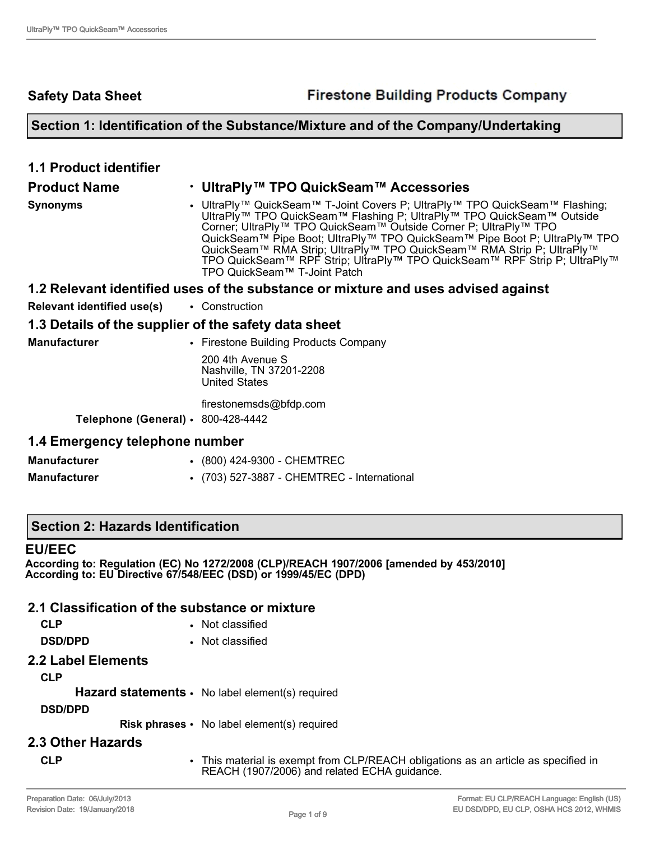**Safety Data Sheet**

## **Section 1: Identification of the Substance/Mixture and of the Company/Undertaking**

| <b>1.1 Product identifier</b>                        |                                                                                                                                                                                                                                                                                                                                                                                                                                                                                                                     |
|------------------------------------------------------|---------------------------------------------------------------------------------------------------------------------------------------------------------------------------------------------------------------------------------------------------------------------------------------------------------------------------------------------------------------------------------------------------------------------------------------------------------------------------------------------------------------------|
| <b>Product Name</b>                                  | • UltraPly™ TPO QuickSeam™ Accessories                                                                                                                                                                                                                                                                                                                                                                                                                                                                              |
| <b>Synonyms</b>                                      | • UltraPly™ QuickSeam™ T-Joint Covers P; UltraPly™ TPO QuickSeam™ Flashing;<br>UltraPly <sup>™</sup> TPO QuickSeam™ Flashing P; UltraPly <sup>™</sup> TPO QuickSeam™ Outside<br>Corner; UltraPly™ TPO QuickSeam™ Outside Corner P; UltraPly™ TPO<br>QuickSeam™ Pipe Boot; UltraPly™ TPO QuickSeam™ Pipe Boot P; UltraPly™ TPO<br>QuickSeam™ RMA Strip; UltraPly™ TPO QuickSeam™ RMA Strip P; UltraPly™<br>TPO QuickSeam™ RPF Strip; UltraPly™ TPO QuickSeam™ RPF Strip P; UltraPly™<br>TPO QuickSeam™ T-Joint Patch |
|                                                      | 1.2 Relevant identified uses of the substance or mixture and uses advised against                                                                                                                                                                                                                                                                                                                                                                                                                                   |
| <b>Relevant identified use(s)</b>                    | • Construction                                                                                                                                                                                                                                                                                                                                                                                                                                                                                                      |
| 1.3 Details of the supplier of the safety data sheet |                                                                                                                                                                                                                                                                                                                                                                                                                                                                                                                     |
| <b>Manufacturer</b>                                  | • Firestone Building Products Company                                                                                                                                                                                                                                                                                                                                                                                                                                                                               |
|                                                      | 200 4th Avenue S<br>Nashville, TN 37201-2208<br><b>United States</b>                                                                                                                                                                                                                                                                                                                                                                                                                                                |
|                                                      | firestonemsds@bfdp.com                                                                                                                                                                                                                                                                                                                                                                                                                                                                                              |
| Telephone (General) $\cdot$ 800-428-4442             |                                                                                                                                                                                                                                                                                                                                                                                                                                                                                                                     |
| 1.4 Emergency telephone number                       |                                                                                                                                                                                                                                                                                                                                                                                                                                                                                                                     |
| <b>Manufacturer</b>                                  | • (800) 424-9300 - CHEMTREC                                                                                                                                                                                                                                                                                                                                                                                                                                                                                         |

**Manufacturer** • (703) 527-3887 - CHEMTREC - International

**Section 2: Hazards Identification**

#### **EU/EEC**

**According to: Regulation (EC) No 1272/2008 (CLP)/REACH 1907/2006 [amended by 453/2010] According to: EU Directive 67/548/EEC (DSD) or 1999/45/EC (DPD)** 

## **2.1 Classification of the substance or mixture**

| <b>CLP</b>    | • Not classified |
|---------------|------------------|
| <b>BABBBB</b> |                  |

**DSD/DPD** • Not classified

## **2.2 Label Elements**

**CLP**

Hazard statements • No label element(s) required

## **DSD/DPD**

**Risk phrases** • No label element(s) required

## **2.3 Other Hazards**

**CLP** • This material is exempt from CLP/REACH obligations as an article as specified in REACH (1907/2006) and related ECHA guidance.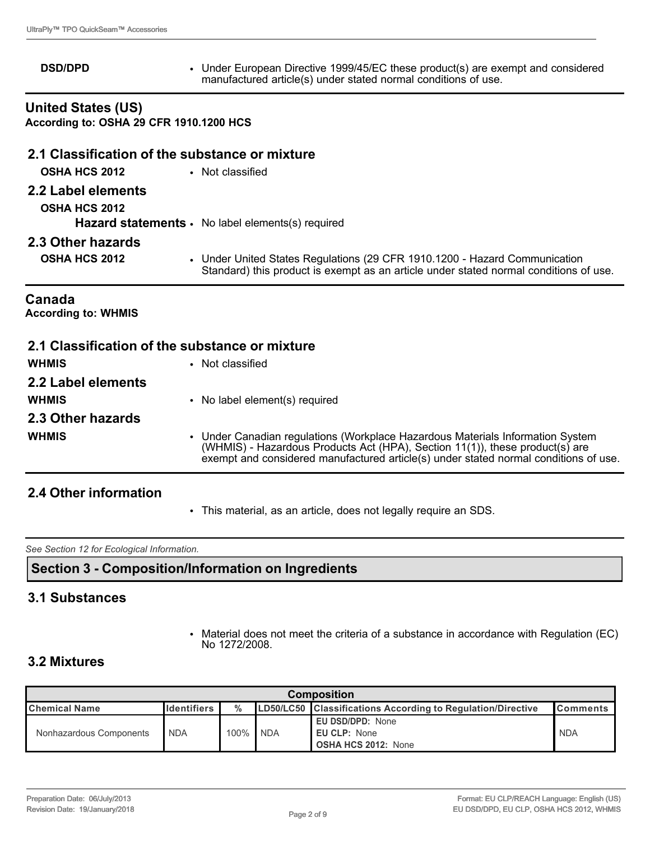**DSD/DPD** • Under European Directive 1999/45/EC these product(s) are exempt and considered manufactured article(s) under stated normal conditions of use.

**United States (US) According to: OSHA 29 CFR 1910.1200 HCS**

# **2.1 Classification of the substance or mixture OSHA HCS 2012** • Not classified **2.2 Label elements OSHA HCS 2012 Hazard statements** • No label elements(s) required **2.3 Other hazards OSHA HCS 2012** • Under United States Regulations (29 CFR 1910.1200 - Hazard Communication Standard) this product is exempt as an article under stated normal conditions of use.

#### **Canada**

**According to: WHMIS** 

| 2.1 Classification of the substance or mixture |                                                                                                                                                                                                                                                        |
|------------------------------------------------|--------------------------------------------------------------------------------------------------------------------------------------------------------------------------------------------------------------------------------------------------------|
| <b>WHMIS</b>                                   | • Not classified                                                                                                                                                                                                                                       |
| 2.2 Label elements                             |                                                                                                                                                                                                                                                        |
| <b>WHMIS</b>                                   | • No label element(s) required                                                                                                                                                                                                                         |
| 2.3 Other hazards                              |                                                                                                                                                                                                                                                        |
| <b>WHMIS</b>                                   | • Under Canadian regulations (Workplace Hazardous Materials Information System<br>(WHMIS) - Hazardous Products Act (HPA), Section 11(1)), these product(s) are<br>exempt and considered manufactured article(s) under stated normal conditions of use. |

## **2.4 Other information**

• This material, as an article, does not legally require an SDS.

*See Section 12 for Ecological Information.* 

**Section 3 - Composition/Information on Ingredients**

## **3.1 Substances**

• Material does not meet the criteria of a substance in accordance with Regulation (EC) No 1272/2008.

## **3.2 Mixtures**

| <b>Composition</b>      |                     |         |            |                                                                       |                  |
|-------------------------|---------------------|---------|------------|-----------------------------------------------------------------------|------------------|
| <b>I</b> Chemical Name  | <b>I</b> dentifiers | $\%$    |            | <b>LD50/LC50</b> Classifications According to Regulation/Directive    | <b>IComments</b> |
| Nonhazardous Components | <b>NDA</b>          | $100\%$ | <b>NDA</b> | <b>EU DSD/DPD: None</b><br>EU CLP: None<br><b>OSHA HCS 2012: None</b> | <b>NDA</b>       |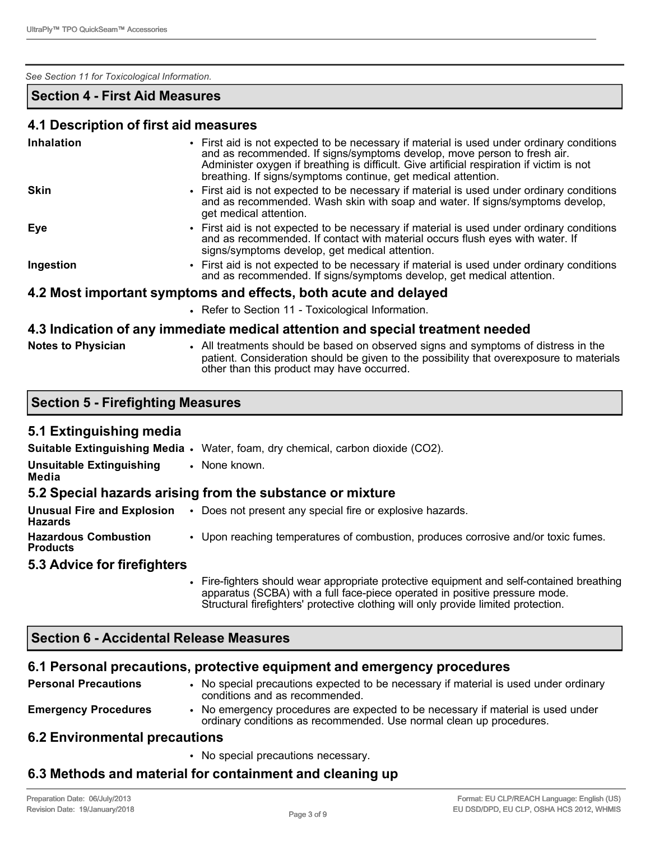#### *See Section 11 for Toxicological Information.*

## **Section 4 - First Aid Measures**

#### **4.1 Description of first aid measures**

| Inhalation  | • First aid is not expected to be necessary if material is used under ordinary conditions<br>and as recommended. If signs/symptoms develop, move person to fresh air.<br>Administer oxygen if breathing is difficult. Give artificial respiration if victim is not<br>breathing. If signs/symptoms continue, get medical attention. |
|-------------|-------------------------------------------------------------------------------------------------------------------------------------------------------------------------------------------------------------------------------------------------------------------------------------------------------------------------------------|
| <b>Skin</b> | • First aid is not expected to be necessary if material is used under ordinary conditions<br>and as recommended. Wash skin with soap and water. If signs/symptoms develop,<br>get medical attention.                                                                                                                                |
| Eye         | • First aid is not expected to be necessary if material is used under ordinary conditions<br>and as recommended. If contact with material occurs flush eyes with water. If<br>signs/symptoms develop, get medical attention.                                                                                                        |
| Ingestion   | • First aid is not expected to be necessary if material is used under ordinary conditions<br>and as recommended. If signs/symptoms develop, get medical attention.                                                                                                                                                                  |
|             | 4.2 Most important symptoms and effects, both acute and delayed                                                                                                                                                                                                                                                                     |
|             | • Refer to Section 11 - Toxicological Information.                                                                                                                                                                                                                                                                                  |
|             | الموامع معربة فيتم مساومته الماموم ويمام ويملئك والمستحلم والمماس والمقارح مسميا يربسونكم استمالهما والراق                                                                                                                                                                                                                          |

#### **4.3 Indication of any immediate medical attention and special treatment needed**

| <b>Notes to Physician</b> |  |  |
|---------------------------|--|--|
|---------------------------|--|--|

**Notes to Physician** • All treatments should be based on observed signs and symptoms of distress in the patient. Consideration should be given to the possibility that overexposure to materials other than this product may have occurred.

|  |  | Section 5 - Firefighting Measures |  |
|--|--|-----------------------------------|--|
|--|--|-----------------------------------|--|

## **5.1 Extinguishing media**

|                                                | <b>Suitable Extinguishing Media •</b> Water, foam, dry chemical, carbon dioxide (CO2).      |
|------------------------------------------------|---------------------------------------------------------------------------------------------|
| <b>Unsuitable Extinguishing</b><br>Media       | • None known.                                                                               |
|                                                | 5.2 Special hazards arising from the substance or mixture                                   |
| <b>Hazards</b>                                 | <b>Unusual Fire and Explosion</b> . Does not present any special fire or explosive hazards. |
| <b>Hazardous Combustion</b><br><b>Products</b> | • Upon reaching temperatures of combustion, produces corrosive and/or toxic fumes.          |
| 5.3 Advice for firefighters                    |                                                                                             |
|                                                |                                                                                             |

• Fire-fighters should wear appropriate protective equipment and self-contained breathing apparatus (SCBA) with a full face-piece operated in positive pressure mode. Structural firefighters' protective clothing will only provide limited protection.

## **Section 6 - Accidental Release Measures**

## **6.1 Personal precautions, protective equipment and emergency procedures**

| <b>Personal Precautions</b>   | • No special precautions expected to be necessary if material is used under ordinary<br>conditions and as recommended.                                  |
|-------------------------------|---------------------------------------------------------------------------------------------------------------------------------------------------------|
| <b>Emergency Procedures</b>   | • No emergency procedures are expected to be necessary if material is used under<br>ordinary conditions as recommended. Use normal clean up procedures. |
| 6.2 Environmental precautions |                                                                                                                                                         |

## **6.2 Environmental precautions**

• No special precautions necessary.

# **6.3 Methods and material for containment and cleaning up**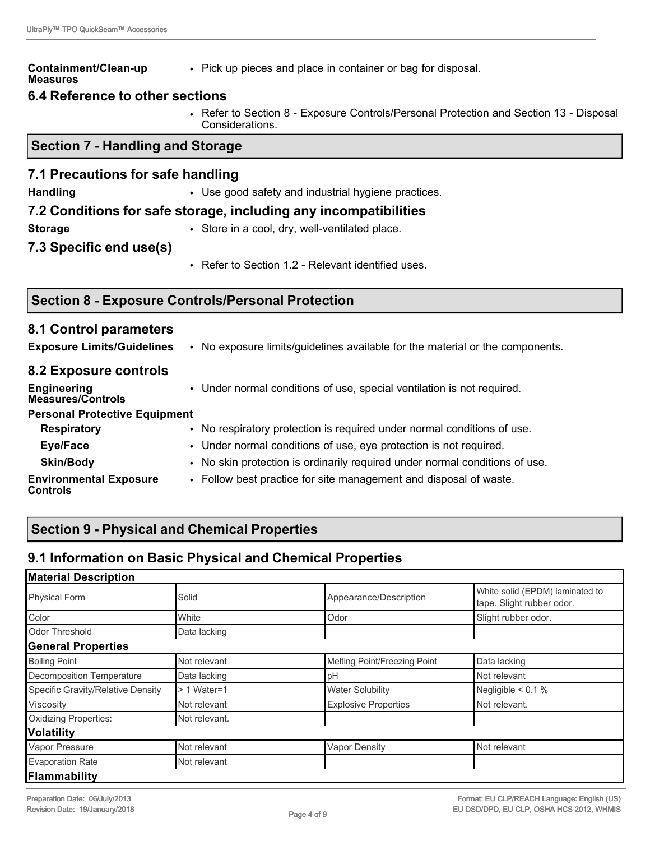#### **Containment/Clean-up Measures**

• Pick up pieces and place in container or bag for disposal.

## **6.4 Reference to other sections**

• Refer to Section 8 - Exposure Controls/Personal Protection and Section 13 - Disposal Considerations.

## **Section 7 - Handling and Storage**

## **7.1 Precautions for safe handling**

**Handling • Use good safety and industrial hygiene practices.** 

## **7.2 Conditions for safe storage, including any incompatibilities**

- 
- **Storage Store in a cool, dry, well-ventilated place.**
- **7.3 Specific end use(s)**
- Refer to Section 1.2 Relevant identified uses.

## **Section 8 - Exposure Controls/Personal Protection**

#### **8.1 Control parameters Exposure Limits/Guidelines** • No exposure limits/guidelines available for the material or the components. **8.2 Exposure controls Engineering Measures/Controls** • Under normal conditions of use, special ventilation is not required. **Personal Protective Equipment Respiratory** • No respiratory protection is required under normal conditions of use. **Eye/Face** • Under normal conditions of use, eye protection is not required. **Skin/Body** • No skin protection is ordinarily required under normal conditions of use. **Environmental Exposure Controls** • Follow best practice for site management and disposal of waste.

# **Section 9 - Physical and Chemical Properties**

# **9.1 Information on Basic Physical and Chemical Properties**

| <b>Material Description</b>       |               |                              |                                                              |
|-----------------------------------|---------------|------------------------------|--------------------------------------------------------------|
| <b>Physical Form</b>              | Solid         | Appearance/Description       | White solid (EPDM) laminated to<br>tape. Slight rubber odor. |
| Color                             | White         | Odor                         | Slight rubber odor.                                          |
| Odor Threshold                    | Data lacking  |                              |                                                              |
| <b>General Properties</b>         |               |                              |                                                              |
| <b>Boiling Point</b>              | Not relevant  | Melting Point/Freezing Point | Data lacking                                                 |
| Decomposition Temperature         | Data lacking  | pH                           | Not relevant                                                 |
| Specific Gravity/Relative Density | $> 1$ Water=1 | <b>Water Solubility</b>      | Negligible $< 0.1 %$                                         |
| Viscosity                         | Not relevant  | <b>Explosive Properties</b>  | Not relevant.                                                |
| Oxidizing Properties:             | Not relevant. |                              |                                                              |
| <b>Volatility</b>                 |               |                              |                                                              |
| Vapor Pressure                    | Not relevant  | <b>Vapor Density</b>         | Not relevant                                                 |
| Evaporation Rate                  | Not relevant  |                              |                                                              |
| Flammability                      |               |                              |                                                              |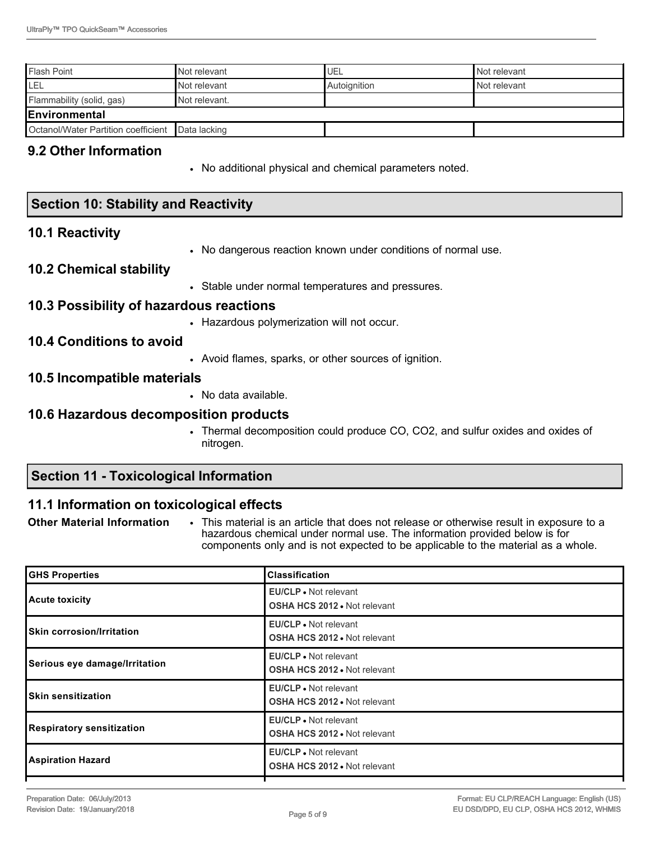| <b>Flash Point</b>                               | Not relevant  | <b>UEL</b>   | Not relevant |
|--------------------------------------------------|---------------|--------------|--------------|
| 'LEL                                             | Not relevant  | Autoignition | Not relevant |
| Flammability (solid, gas)                        | Not relevant. |              |              |
| <b>IEnvironmental</b>                            |               |              |              |
| Octanol/Water Partition coefficient Data lacking |               |              |              |

## **9.2 Other Information**

• No additional physical and chemical parameters noted.

| <b>Section 10: Stability and Reactivity</b> |                                                                                             |  |  |
|---------------------------------------------|---------------------------------------------------------------------------------------------|--|--|
| <b>10.1 Reactivity</b>                      |                                                                                             |  |  |
|                                             | • No dangerous reaction known under conditions of normal use.                               |  |  |
| <b>10.2 Chemical stability</b>              |                                                                                             |  |  |
|                                             | • Stable under normal temperatures and pressures.                                           |  |  |
| 10.3 Possibility of hazardous reactions     |                                                                                             |  |  |
|                                             | • Hazardous polymerization will not occur.                                                  |  |  |
| <b>10.4 Conditions to avoid</b>             |                                                                                             |  |  |
|                                             | • Avoid flames, sparks, or other sources of ignition.                                       |  |  |
| 10.5 Incompatible materials                 |                                                                                             |  |  |
|                                             | • No data available.                                                                        |  |  |
| 10.6 Hazardous decomposition products       |                                                                                             |  |  |
|                                             | • Thermal decomposition could produce CO, CO2, and sulfur oxides and oxides of<br>nitrogen. |  |  |

# **Section 11 - Toxicological Information**

# **11.1 Information on toxicological effects**

**Other Material Information** • This material is an article that does not release or otherwise result in exposure to a hazardous chemical under normal use. The information provided below is for components only and is not expected to be applicable to the material as a whole.

| <b>GHS Properties</b>            | <b>Classification</b>                                               |
|----------------------------------|---------------------------------------------------------------------|
| Acute toxicity                   | <b>EU/CLP</b> • Not relevant<br><b>OSHA HCS 2012 • Not relevant</b> |
| <b>Skin corrosion/Irritation</b> | <b>EU/CLP</b> • Not relevant<br><b>OSHA HCS 2012 • Not relevant</b> |
| Serious eye damage/Irritation    | <b>EU/CLP</b> • Not relevant<br><b>OSHA HCS 2012 . Not relevant</b> |
| <b>ISkin sensitization</b>       | <b>EU/CLP</b> • Not relevant<br><b>OSHA HCS 2012 • Not relevant</b> |
| Respiratory sensitization        | <b>EU/CLP</b> • Not relevant<br><b>OSHA HCS 2012 • Not relevant</b> |
| <b>Aspiration Hazard</b>         | <b>EU/CLP</b> • Not relevant<br><b>OSHA HCS 2012 • Not relevant</b> |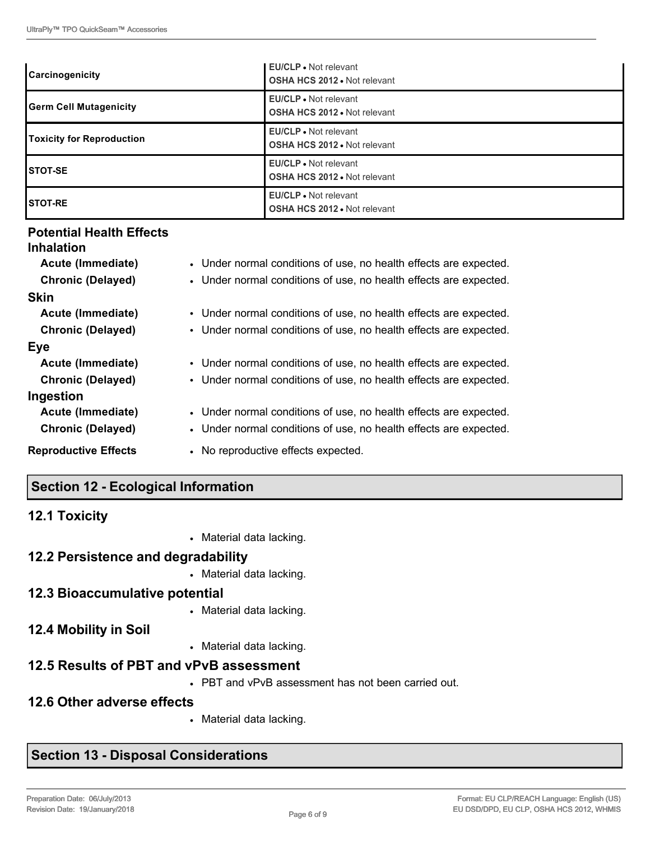| <b>Carcinogenicity</b>        | <b>EU/CLP</b> • Not relevant<br><b>OSHA HCS 2012 • Not relevant</b> |
|-------------------------------|---------------------------------------------------------------------|
| <b>Germ Cell Mutagenicity</b> | <b>EU/CLP</b> . Not relevant<br><b>OSHA HCS 2012 . Not relevant</b> |
| Toxicity for Reproduction     | EU/CLP • Not relevant<br><b>OSHA HCS 2012 • Not relevant</b>        |
| <b>ISTOT-SE</b>               | <b>EU/CLP</b> • Not relevant<br><b>OSHA HCS 2012 . Not relevant</b> |
| <b>ISTOT-RE</b>               | EU/CLP • Not relevant<br><b>OSHA HCS 2012 • Not relevant</b>        |

## **Potential Health Effects**

| <b>Inhalation</b>           |                                                                   |
|-----------------------------|-------------------------------------------------------------------|
| Acute (Immediate)           | • Under normal conditions of use, no health effects are expected. |
| <b>Chronic (Delayed)</b>    | • Under normal conditions of use, no health effects are expected. |
| <b>Skin</b>                 |                                                                   |
| Acute (Immediate)           | • Under normal conditions of use, no health effects are expected. |
| <b>Chronic (Delayed)</b>    | • Under normal conditions of use, no health effects are expected. |
| Eye                         |                                                                   |
| Acute (Immediate)           | • Under normal conditions of use, no health effects are expected. |
| <b>Chronic (Delayed)</b>    | • Under normal conditions of use, no health effects are expected. |
| Ingestion                   |                                                                   |
| Acute (Immediate)           | • Under normal conditions of use, no health effects are expected. |
| <b>Chronic (Delayed)</b>    | • Under normal conditions of use, no health effects are expected. |
| <b>Reproductive Effects</b> | • No reproductive effects expected.                               |

# **Section 12 - Ecological Information**

| <b>12.1 Toxicity</b>                    |                                                     |
|-----------------------------------------|-----------------------------------------------------|
|                                         | • Material data lacking.                            |
| 12.2 Persistence and degradability      |                                                     |
|                                         | • Material data lacking.                            |
| 12.3 Bioaccumulative potential          |                                                     |
|                                         | • Material data lacking.                            |
| <b>12.4 Mobility in Soil</b>            |                                                     |
|                                         | • Material data lacking.                            |
| 12.5 Results of PBT and vPvB assessment |                                                     |
|                                         | • PBT and vPvB assessment has not been carried out. |
| 12.6 Other adverse effects              |                                                     |
|                                         | • Material data lacking.                            |

# **Section 13 - Disposal Considerations**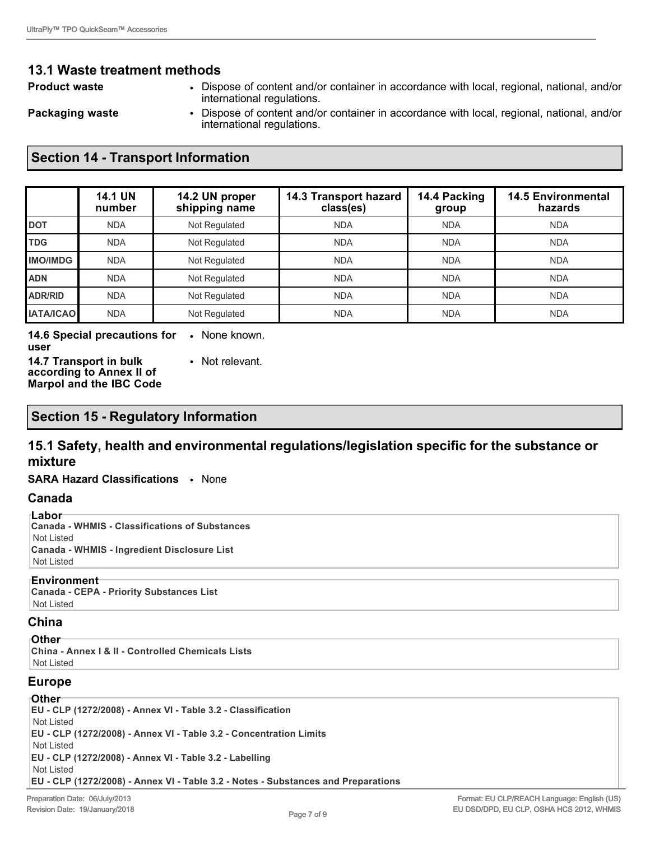## **13.1 Waste treatment methods**

- **Product waste** Dispose of content and/or container in accordance with local, regional, national, and/or international regulations.
- 
- **Packaging waste Dispose of content and/or container in accordance with local, regional, national, and/or** international regulations.

## **Section 14 - Transport Information**

|                  | <b>14.1 UN</b><br>number | 14.2 UN proper<br>shipping name | 14.3 Transport hazard<br>class(es) | 14.4 Packing<br>group | <b>14.5 Environmental</b><br>hazards |
|------------------|--------------------------|---------------------------------|------------------------------------|-----------------------|--------------------------------------|
| <b>DOT</b>       | <b>NDA</b>               | Not Regulated                   | <b>NDA</b>                         | <b>NDA</b>            | <b>NDA</b>                           |
| <b>TDG</b>       | <b>NDA</b>               | Not Regulated                   | <b>NDA</b>                         | <b>NDA</b>            | <b>NDA</b>                           |
| <b>IMO/IMDG</b>  | <b>NDA</b>               | Not Regulated                   | <b>NDA</b>                         | <b>NDA</b>            | <b>NDA</b>                           |
| <b>ADN</b>       | <b>NDA</b>               | Not Regulated                   | <b>NDA</b>                         | <b>NDA</b>            | <b>NDA</b>                           |
| ADR/RID          | <b>NDA</b>               | Not Regulated                   | <b>NDA</b>                         | <b>NDA</b>            | <b>NDA</b>                           |
| <b>IATA/ICAO</b> | <b>NDA</b>               | Not Regulated                   | <b>NDA</b>                         | <b>NDA</b>            | <b>NDA</b>                           |

#### **14.6 Special precautions for**  • None known. **user**

**14.7 Transport in bulk according to Annex II of Marpol and the IBC Code** • Not relevant.

## **Section 15 - Regulatory Information**

## **15.1 Safety, health and environmental regulations/legislation specific for the substance or mixture**

#### **SARA Hazard Classifications** • None

#### **Canada**

**Labor Canada - WHMIS - Classifications of Substances** Not Listed **Canada - WHMIS - Ingredient Disclosure List** Not Listed

#### **Environment**

**Canada - CEPA - Priority Substances List** Not Listed

## **China**

#### **Other**

**China - Annex I & II - Controlled Chemicals Lists** Not Listed

## **Europe**

**Other EU - CLP (1272/2008) - Annex VI - Table 3.2 - Classification** Not Listed **EU - CLP (1272/2008) - Annex VI - Table 3.2 - Concentration Limits** Not Listed **EU - CLP (1272/2008) - Annex VI - Table 3.2 - Labelling** Not Listed **EU - CLP (1272/2008) - Annex VI - Table 3.2 - Notes - Substances and Preparations**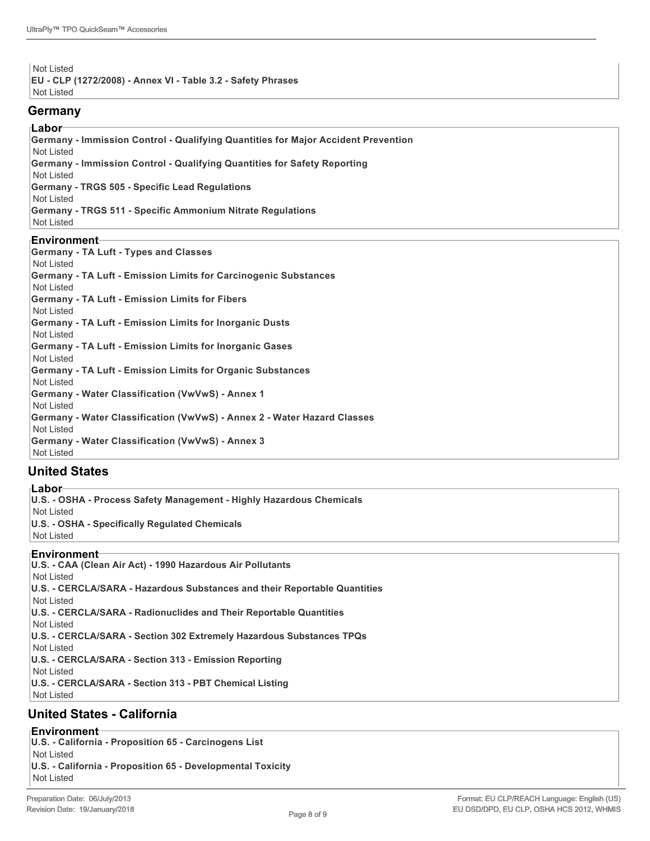Not Listed **EU - CLP (1272/2008) - Annex VI - Table 3.2 - Safety Phrases** Not Listed

#### **Germany**

#### **Labor**

**Germany - Immission Control - Qualifying Quantities for Major Accident Prevention** Not Listed **Germany - Immission Control - Qualifying Quantities for Safety Reporting** Not Listed **Germany - TRGS 505 - Specific Lead Regulations** Not Listed **Germany - TRGS 511 - Specific Ammonium Nitrate Regulations** Not Listed

#### **Environment**

| <b>Germany - TA Luft - Types and Classes</b>                            |
|-------------------------------------------------------------------------|
| Not Listed                                                              |
| Germany - TA Luft - Emission Limits for Carcinogenic Substances         |
| Not Listed                                                              |
| Germany - TA Luft - Emission Limits for Fibers                          |
| Not Listed                                                              |
| Germany - TA Luft - Emission Limits for Inorganic Dusts                 |
| Not Listed                                                              |
| Germany - TA Luft - Emission Limits for Inorganic Gases                 |
| Not Listed                                                              |
| Germany - TA Luft - Emission Limits for Organic Substances              |
| Not Listed                                                              |
| <b>Germany - Water Classification (VwVwS) - Annex 1</b>                 |
| Not Listed                                                              |
| Germany - Water Classification (VwVwS) - Annex 2 - Water Hazard Classes |
| Not Listed                                                              |
| <b>Germany - Water Classification (VwVwS) - Annex 3</b>                 |
| Not Listed                                                              |

## **United States**

**Labor U.S. - OSHA - Process Safety Management - Highly Hazardous Chemicals** Not Listed **U.S. - OSHA - Specifically Regulated Chemicals** Not Listed **Environment U.S. - CAA (Clean Air Act) - 1990 Hazardous Air Pollutants**

Not Listed **U.S. - CERCLA/SARA - Hazardous Substances and their Reportable Quantities** Not Listed **U.S. - CERCLA/SARA - Radionuclides and Their Reportable Quantities** Not Listed **U.S. - CERCLA/SARA - Section 302 Extremely Hazardous Substances TPQs** Not Listed **U.S. - CERCLA/SARA - Section 313 - Emission Reporting** Not Listed **U.S. - CERCLA/SARA - Section 313 - PBT Chemical Listing** Not Listed

## **United States - California**

**Environment**

**U.S. - California - Proposition 65 - Carcinogens List** Not Listed **U.S. - California - Proposition 65 - Developmental Toxicity** Not Listed